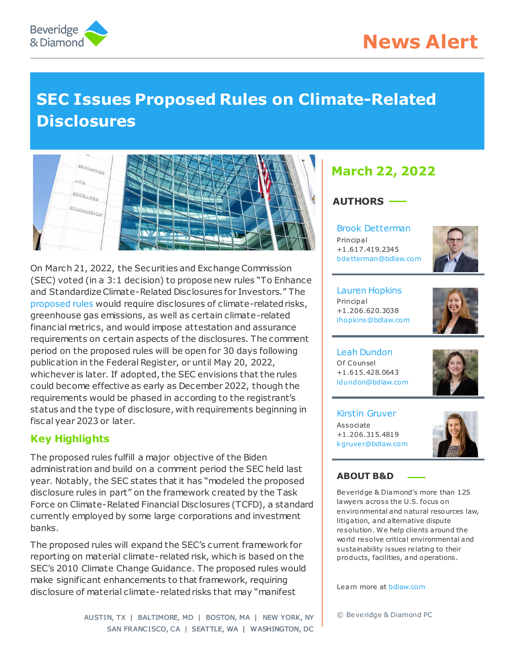



# **SEC Issues Proposed Rules on Climate-Related Disclosures**



On March 21, 2022, the Securities and Exchange Commission (SEC) voted (in a 3:1 decision) to propose new rules "To Enhance and Standardize Climate-Related Disclosures for Investors." The [proposed rules](https://www.sec.gov/rules/proposed/2022/33-11042.pdf) would require disclosures of climate-related risks, greenhouse gas emissions, as well as certain climate-related financial metrics, and would impose attestation and assurance requirements on certain aspects of the disclosures. The comment period on the proposed rules will be open for 30 days following publication in the Federal Register, or until May 20, 2022, whichever is later. If adopted, the SEC envisions that the rules could become effective as early as December 2022, though the requirements would be phased in according to the registrant's status and the type of disclosure, with requirements beginning in fiscal year 2023 or later.

# **Key Highlights**

The proposed rules fulfill a major objective of the Biden administration and build on a comment period the SEC held last year. Notably, the SEC states that it has "modeled the proposed disclosure rules in part" on the framework created by the Task Force on Climate-Related Financial Disclosures (TCFD), a standard currently employed by some large corporations and investment banks.

The proposed rules will expand the SEC's current framework for reporting on material climate-related risk, which is based on the SEC's 2010 Climate Change Guidance. The proposed rules would make significant enhancements to that framework, requiring disclosure of material climate-related risks that may "manifest

> AUSTIN, TX | BALTIMORE, MD | BOSTON, MA | NEW YORK, NY SAN FRANCISCO, CA | SEATTLE, WA | WASHINGTON, DC

# **March 22, 2022**

# **AUTHORS**

[Brook Detterman](https://www.bdlaw.com/brook-detterman/) Principal +1.617.419.2345 [bde tterman@bdlaw.com](mailto:bdetterman@bdlaw.com)



[Lauren Hopkins](https://www.bdlaw.com/lauren-a-hopkins/) Principal +1.206.620.3038 [lhopkins@bdlaw.com](mailto:lhopkins@bdlaw.com)



[Leah Dundon](https://www.bdlaw.com/leah-a-dundon/) Of Counsel +1.615.428.0643 [ldundon@bdlaw.com](mailto:ldundon@bdlaw.com)



[Kirstin Gruver](https://www.bdlaw.com/kirstin-gruver/) Associate +1.206.315.4819 [kgruver@bdlaw.com](mailto:kgruver@bdlaw.com)



#### **ABOUT B&D**

Beveridge & Diamond's more than 125 lawyers across the U.S. focus on environmental and natural resources law, litigation, and alternative dispute resolution. We help clients around the world resolve critical environmental and sustainability issues relating to their products, facilities, and operations.

Learn more a[t bdlaw.com](https://www.bdlaw.com/)

© Beveridge & Diamond PC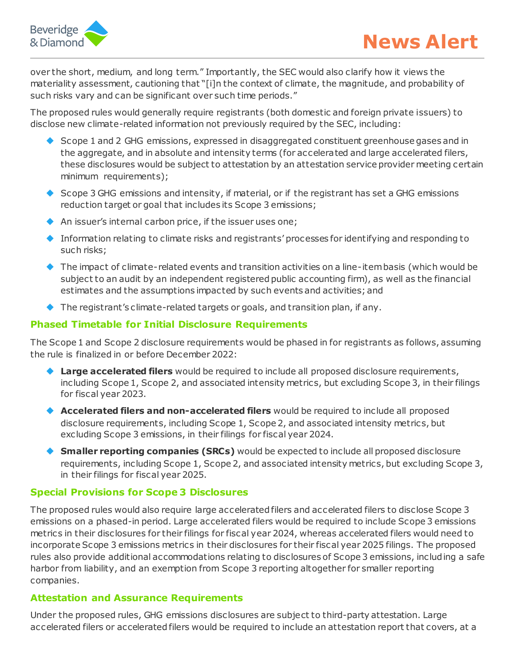

over the short, medium, and long term." Importantly, the SEC would also clarify how it views the materiality assessment, cautioning that "[i]n the context of climate, the magnitude, and probability of such risks vary and can be significant over such time periods."

The proposed rules would generally require registrants (both domestic and foreign private issuers) to disclose new climate-related information not previously required by the SEC, including:

- Scope 1 and 2 GHG emissions, expressed in disaggregated constituent greenhouse gases and in the aggregate, and in absolute and intensity terms (for accelerated and large accelerated filers, these disclosures would be subject to attestation by an attestation service provider meeting certain minimum requirements);
- ◆ Scope 3 GHG emissions and intensity, if material, or if the registrant has set a GHG emissions reduction target or goal that includes its Scope 3 emissions;
- An issuer's internal carbon price, if the issuer uses one;
- Information relating to climate risks and registrants' processes for identifying and responding to such risks;
- ◆ The impact of climate-related events and transition activities on a line-item basis (which would be subject to an audit by an independent registered public accounting firm), as well as the financial estimates and the assumptions impacted by such events and activities; and
- $\blacklozenge$  The registrant's climate-related targets or goals, and transition plan, if any.

### **Phased Timetable for Initial Disclosure Requirements**

The Scope 1 and Scope 2 disclosure requirements would be phased in for registrants as follows, assuming the rule is finalized in or before December 2022:

- **Large accelerated filers** would be required to include all proposed disclosure requirements, including Scope 1, Scope 2, and associated intensity metrics, but excluding Scope 3, in their filings for fiscal year 2023.
- **Accelerated filers and non-accelerated filers** would be required to include all proposed disclosure requirements, including Scope 1, Scope 2, and associated intensity metrics, but excluding Scope 3 emissions, in their filings for fiscal year 2024.
- **Smaller reporting companies (SRCs)** would be expected to include all proposed disclosure requirements, including Scope 1, Scope 2, and associated intensity metrics, but excluding Scope 3, in their filings for fiscal year 2025.

#### **Special Provisions for Scope 3 Disclosures**

The proposed rules would also require large accelerated filers and accelerated filers to disclose Scope 3 emissions on a phased-in period. Large accelerated filers would be required to include Scope 3 emissions metrics in their disclosures for their filings for fiscal year 2024, whereas accelerated filers would need to incorporate Scope 3 emissions metrics in their disclosures for their fiscal year 2025 filings. The proposed rules also provide additional accommodations relating to disclosures of Scope 3 emissions, including a safe harbor from liability, and an exemption from Scope 3 reporting altogether for smaller reporting companies.

#### **Attestation and Assurance Requirements**

Under the proposed rules, GHG emissions disclosures are subject to third-party attestation. Large accelerated filers or accelerated filers would be required to include an attestation report that covers, at a